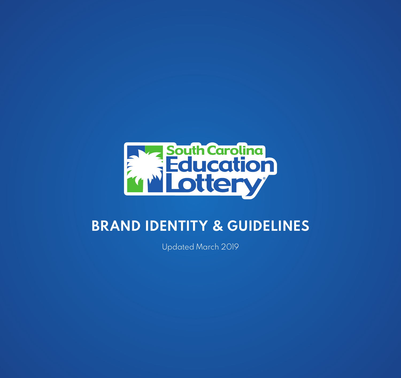

### **BRAND IDENTITY & GUIDELINES**

Updated March 2019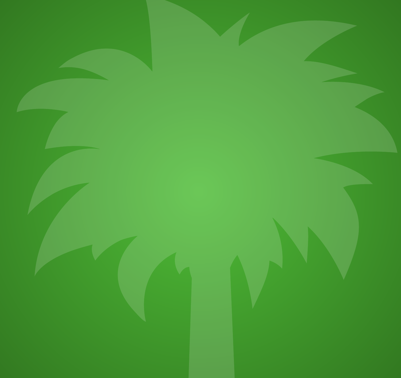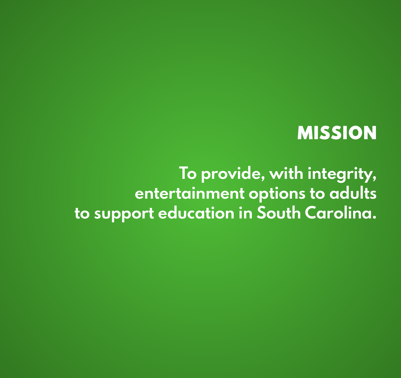### MISSION

**To provide, with integrity, entertainment options to adults to support education in South Carolina.**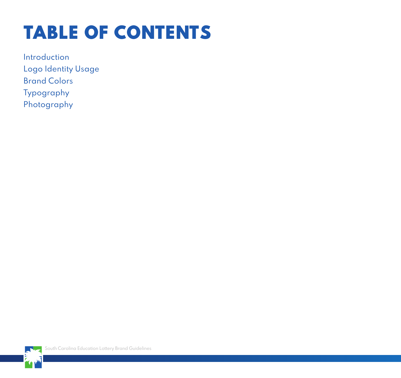## TABLE OF CONTENTS

Introduction Logo Identity Usage Brand Colors Typography Photography

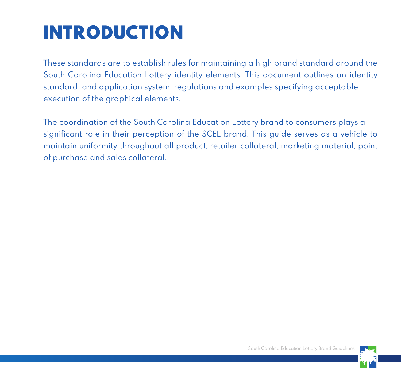## INTRODUCTION

These standards are to establish rules for maintaining a high brand standard around the South Carolina Education Lottery identity elements. This document outlines an identity standard and application system, regulations and examples specifying acceptable execution of the graphical elements.

The coordination of the South Carolina Education Lottery brand to consumers plays a significant role in their perception of the SCEL brand. This guide serves as a vehicle to maintain uniformity throughout all product, retailer collateral, marketing material, point of purchase and sales collateral.



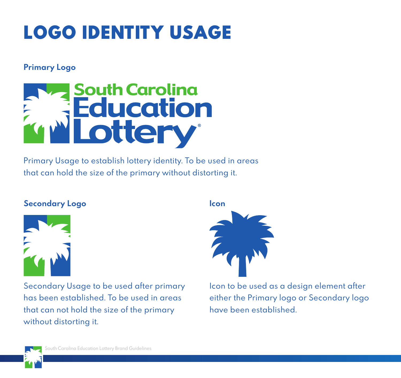# LOGO IDENTITY USAGE

#### **Primary Logo**



Primary Usage to establish lottery identity. To be used in areas that can hold the size of the primary without distorting it.

#### **Secondary Logo Icon**



Secondary Usage to be used after primary has been established. To be used in areas that can not hold the size of the primary without distorting it.



Icon to be used as a design element after either the Primary logo or Secondary logo have been established.

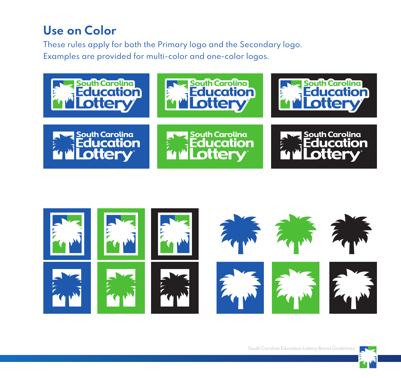### **Use on Color**

These rules apply for both the Primary logo and the Secondary logo. Examples are provided for multi-color and one-color logos.





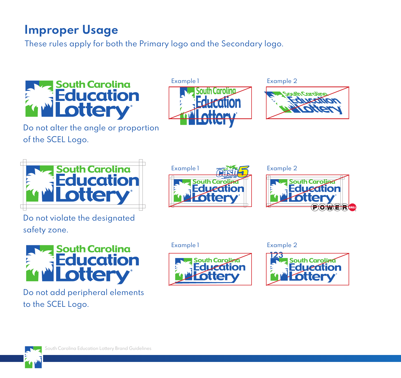### **Improper Usage**

These rules apply for both the Primary logo and the Secondary logo.





Example 2



Do not alter the angle or proportion of the SCEL Logo.





Example 2



Do not violate the designated safety zone.



Do not add peripheral elements to the SCEL Logo.

Example 1



Example 2



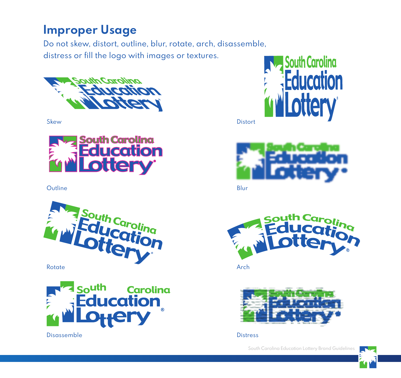### **Improper Usage**

Do not skew, distort, outline, blur, rotate, arch, disassemble, distress or fill the logo with images or textures.





**Outline** 



Rotate



Disassemble



Skew Distort



Blur



Arch



**Distress** 

South Carolina Education Lottery Brand Guidelines

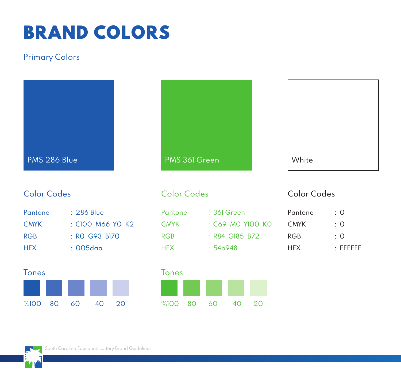## BRAND COLORS

#### Primary Colors

| PMS 286 Blue       |                  | PMS 361 Green      |                  | White              |                |
|--------------------|------------------|--------------------|------------------|--------------------|----------------|
| <b>Color Codes</b> |                  | <b>Color Codes</b> |                  | <b>Color Codes</b> |                |
| Pantone            | : 286 Blue       | Pantone            | : 361 Green      | Pantone            | : 0            |
| <b>CMYK</b>        | : CIOO M66 YO K2 | <b>CMYK</b>        | : C69 MO Y100 KO | <b>CMYK</b>        | $\therefore$ O |
| <b>RGB</b>         | : RO G93 BI70    | <b>RGB</b>         | : R84 G185 B72   | <b>RGB</b>         | : 0            |
| <b>HEX</b>         | : 005daa         | <b>HEX</b>         | : 54b948         | <b>HEX</b>         | $:$ FFFFFFF    |